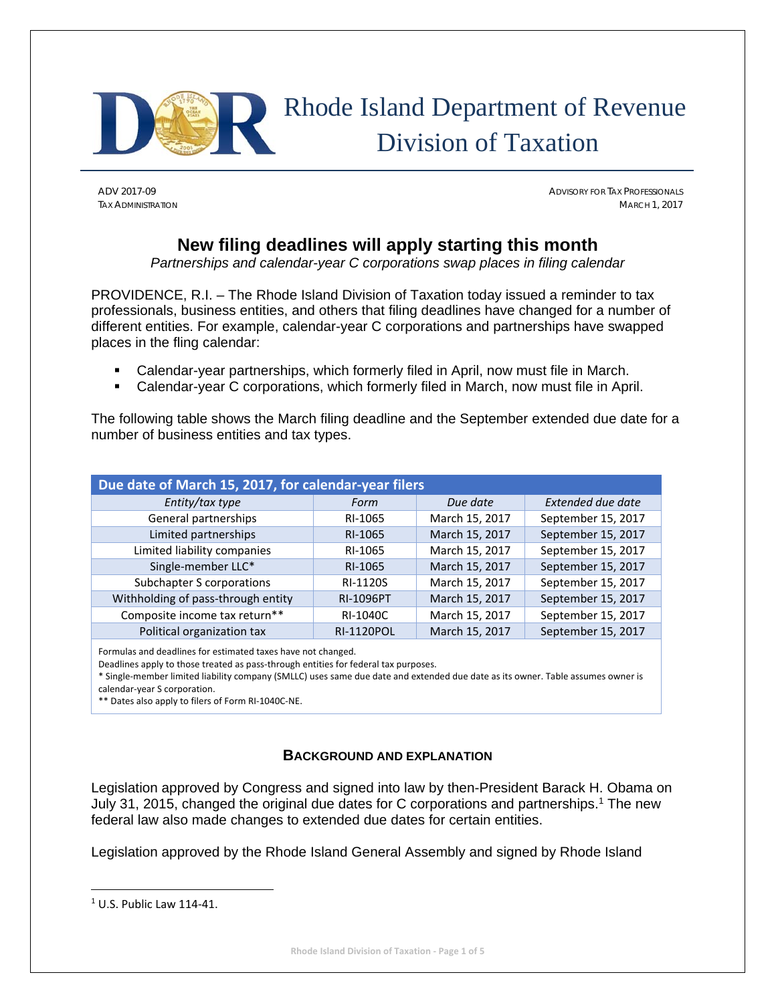

# Rhode Island Department of Revenue Division of Taxation

ADV 2017-09 ADVISORY FOR TAX PROFESSIONALS TAX ADMINISTRATION MARCH 1, 2017

### **New filing deadlines will apply starting this month**

*Partnerships and calendar-year C corporations swap places in filing calendar* 

PROVIDENCE, R.I. – The Rhode Island Division of Taxation today issued a reminder to tax professionals, business entities, and others that filing deadlines have changed for a number of different entities. For example, calendar-year C corporations and partnerships have swapped places in the fling calendar:

- Calendar-year partnerships, which formerly filed in April, now must file in March.
- Calendar-year C corporations, which formerly filed in March, now must file in April.

The following table shows the March filing deadline and the September extended due date for a number of business entities and tax types.

| Due date of March 15, 2017, for calendar-year filers |                   |                |                    |  |  |
|------------------------------------------------------|-------------------|----------------|--------------------|--|--|
| Entity/tax type                                      | Form              | Due date       | Extended due date  |  |  |
| General partnerships                                 | RI-1065           | March 15, 2017 | September 15, 2017 |  |  |
| Limited partnerships                                 | RI-1065           | March 15, 2017 | September 15, 2017 |  |  |
| Limited liability companies                          | RI-1065           | March 15, 2017 | September 15, 2017 |  |  |
| Single-member LLC*                                   | RI-1065           | March 15, 2017 | September 15, 2017 |  |  |
| Subchapter S corporations                            | RI-1120S          | March 15, 2017 | September 15, 2017 |  |  |
| Withholding of pass-through entity                   | <b>RI-1096PT</b>  | March 15, 2017 | September 15, 2017 |  |  |
| Composite income tax return**                        | RI-1040C          | March 15, 2017 | September 15, 2017 |  |  |
| Political organization tax                           | <b>RI-1120POL</b> | March 15, 2017 | September 15, 2017 |  |  |

Formulas and deadlines for estimated taxes have not changed.

Deadlines apply to those treated as pass‐through entities for federal tax purposes.

\* Single‐member limited liability company (SMLLC) uses same due date and extended due date as its owner. Table assumes owner is

calendar‐year S corporation.

\*\* Dates also apply to filers of Form RI‐1040C‐NE.

#### **BACKGROUND AND EXPLANATION**

Legislation approved by Congress and signed into law by then-President Barack H. Obama on July 31, 2015, changed the original due dates for C corporations and partnerships.1 The new federal law also made changes to extended due dates for certain entities.

Legislation approved by the Rhode Island General Assembly and signed by Rhode Island

 $1$  U.S. Public Law 114-41.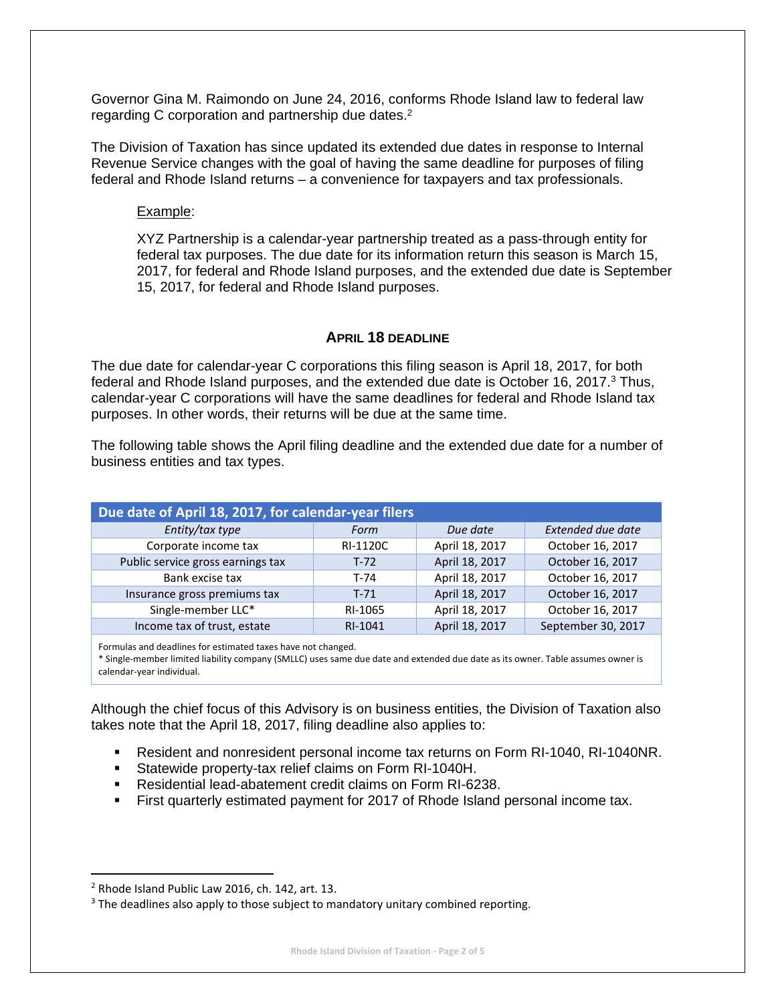Governor Gina M. Raimondo on June 24, 2016, conforms Rhode Island law to federal law regarding C corporation and partnership due dates.<sup>2</sup>

The Division of Taxation has since updated its extended due dates in response to Internal Revenue Service changes with the goal of having the same deadline for purposes of filing federal and Rhode Island returns – a convenience for taxpayers and tax professionals.

#### Example:

XYZ Partnership is a calendar-year partnership treated as a pass-through entity for federal tax purposes. The due date for its information return this season is March 15, 2017, for federal and Rhode Island purposes, and the extended due date is September 15, 2017, for federal and Rhode Island purposes.

#### **APRIL 18 DEADLINE**

The due date for calendar-year C corporations this filing season is April 18, 2017, for both federal and Rhode Island purposes, and the extended due date is October 16, 2017.<sup>3</sup> Thus, calendar-year C corporations will have the same deadlines for federal and Rhode Island tax purposes. In other words, their returns will be due at the same time.

The following table shows the April filing deadline and the extended due date for a number of business entities and tax types.

| Due date of April 18, 2017, for calendar-year filers |          |                |                    |  |  |
|------------------------------------------------------|----------|----------------|--------------------|--|--|
| Entity/tax type                                      | Form     | Due date       | Extended due date  |  |  |
| Corporate income tax                                 | RI-1120C | April 18, 2017 | October 16, 2017   |  |  |
| Public service gross earnings tax                    | $T-72$   | April 18, 2017 | October 16, 2017   |  |  |
| Bank excise tax                                      | T-74     | April 18, 2017 | October 16, 2017   |  |  |
| Insurance gross premiums tax                         | $T-71$   | April 18, 2017 | October 16, 2017   |  |  |
| Single-member LLC*                                   | RI-1065  | April 18, 2017 | October 16, 2017   |  |  |
| Income tax of trust, estate                          | RI-1041  | April 18, 2017 | September 30, 2017 |  |  |

Formulas and deadlines for estimated taxes have not changed.

\* Single‐member limited liability company (SMLLC) uses same due date and extended due date as its owner. Table assumes owner is calendar‐year individual.

Although the chief focus of this Advisory is on business entities, the Division of Taxation also takes note that the April 18, 2017, filing deadline also applies to:

- Resident and nonresident personal income tax returns on Form RI-1040, RI-1040NR.
- Statewide property-tax relief claims on Form RI-1040H.
- Residential lead-abatement credit claims on Form RI-6238.
- First quarterly estimated payment for 2017 of Rhode Island personal income tax.

<sup>2</sup> Rhode Island Public Law 2016, ch. 142, art. 13.

<sup>&</sup>lt;sup>3</sup> The deadlines also apply to those subject to mandatory unitary combined reporting.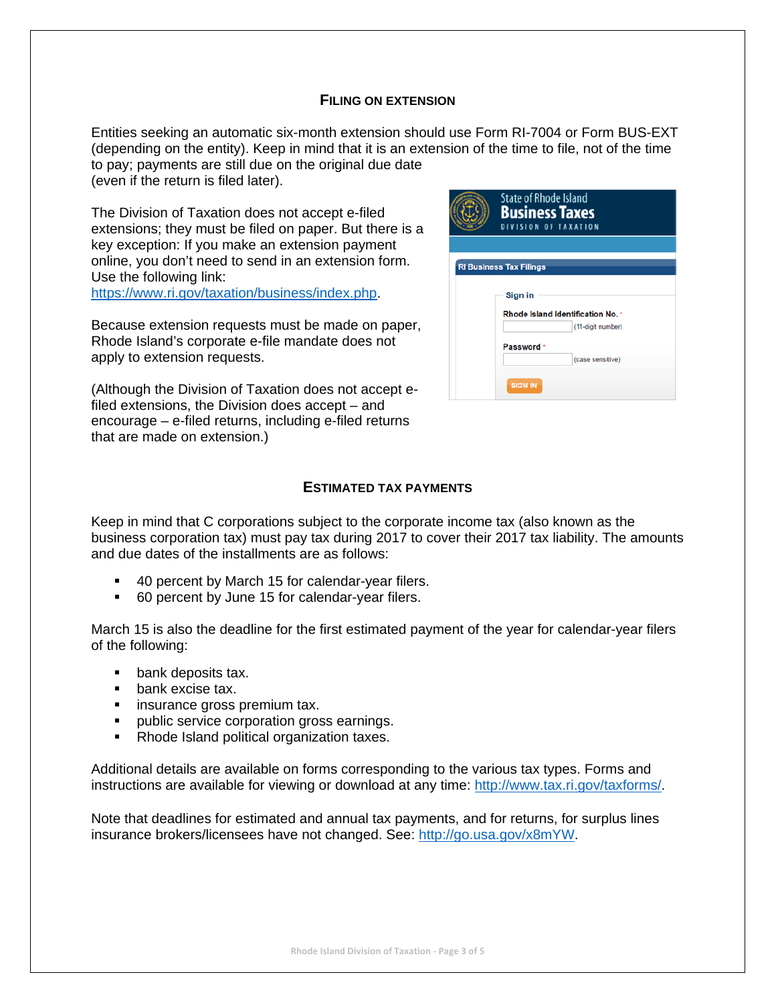#### **FILING ON EXTENSION**

Entities seeking an automatic six-month extension should use Form RI-7004 or Form BUS-EXT (depending on the entity). Keep in mind that it is an extension of the time to file, not of the time to pay; payments are still due on the original due date (even if the return is filed later).

The Division of Taxation does not accept e-filed extensions; they must be filed on paper. But there is a key exception: If you make an extension payment online, you don't need to send in an extension form. Use the following link:

https://www.ri.gov/taxation/business/index.php.

Because extension requests must be made on paper, Rhode Island's corporate e-file mandate does not apply to extension requests.

(Although the Division of Taxation does not accept efiled extensions, the Division does accept – and encourage – e-filed returns, including e-filed returns that are made on extension.)

| <b>State of Rhode Island</b><br><b>Business Taxes</b><br><b>DIVISION OF TAXATION</b> |
|--------------------------------------------------------------------------------------|
|                                                                                      |
| <b>RI Business Tax Filings</b>                                                       |
| Sign in<br>Rhode Island Identification No. *<br>(11-digit number)                    |
| <b>Password</b>                                                                      |
| (case sensitive)<br><b>SIGN IN</b>                                                   |

#### **ESTIMATED TAX PAYMENTS**

Keep in mind that C corporations subject to the corporate income tax (also known as the business corporation tax) must pay tax during 2017 to cover their 2017 tax liability. The amounts and due dates of the installments are as follows:

- 40 percent by March 15 for calendar-year filers.
- 60 percent by June 15 for calendar-year filers.

March 15 is also the deadline for the first estimated payment of the year for calendar-year filers of the following:

- **bank deposits tax.**
- **bank excise tax.**
- **EXECUTE:** insurance gross premium tax.
- **•** public service corporation gross earnings.
- Rhode Island political organization taxes.

Additional details are available on forms corresponding to the various tax types. Forms and instructions are available for viewing or download at any time: http://www.tax.ri.gov/taxforms/.

Note that deadlines for estimated and annual tax payments, and for returns, for surplus lines insurance brokers/licensees have not changed. See: http://go.usa.gov/x8mYW.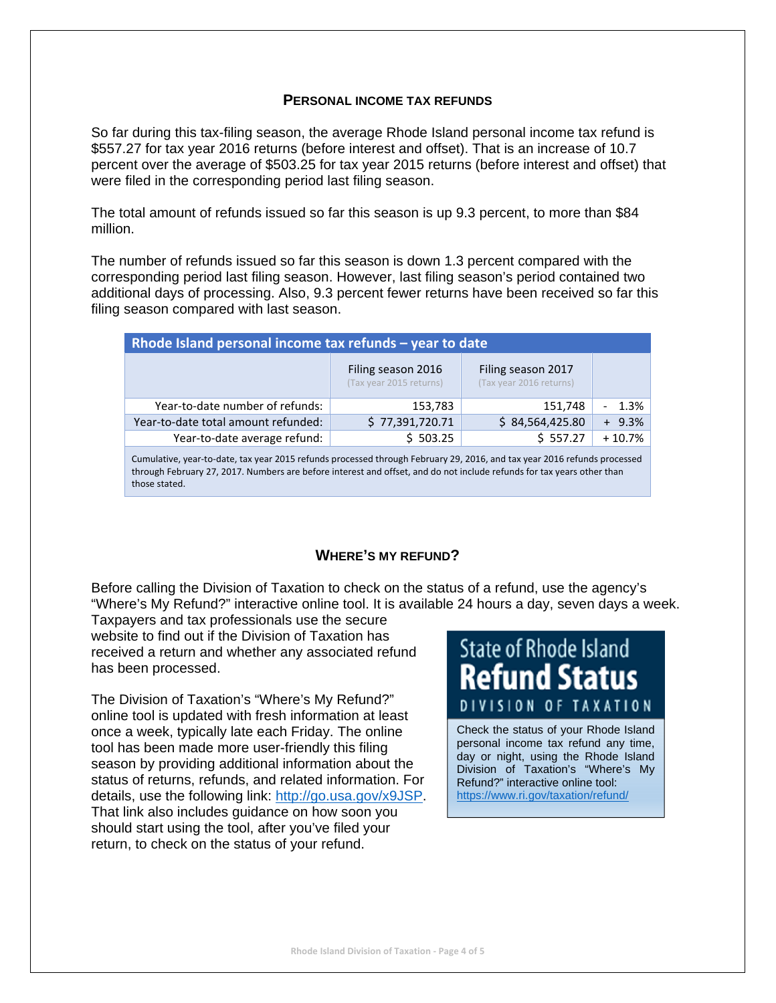#### **PERSONAL INCOME TAX REFUNDS**

So far during this tax-filing season, the average Rhode Island personal income tax refund is \$557.27 for tax year 2016 returns (before interest and offset). That is an increase of 10.7 percent over the average of \$503.25 for tax year 2015 returns (before interest and offset) that were filed in the corresponding period last filing season.

The total amount of refunds issued so far this season is up 9.3 percent, to more than \$84 million.

The number of refunds issued so far this season is down 1.3 percent compared with the corresponding period last filing season. However, last filing season's period contained two additional days of processing. Also, 9.3 percent fewer returns have been received so far this filing season compared with last season.

| Rhode Island personal income tax refunds - year to date |                                               |                                               |          |  |  |
|---------------------------------------------------------|-----------------------------------------------|-----------------------------------------------|----------|--|--|
|                                                         | Filing season 2016<br>(Tax year 2015 returns) | Filing season 2017<br>(Tax year 2016 returns) |          |  |  |
| Year-to-date number of refunds:                         | 153,783                                       | 151,748                                       | 1.3%     |  |  |
| Year-to-date total amount refunded:                     | \$77,391,720.71                               | \$84,564,425.80                               | $+9.3%$  |  |  |
| Year-to-date average refund:                            | \$503.25                                      | \$557.27                                      | $+10.7%$ |  |  |
|                                                         |                                               |                                               |          |  |  |

Cumulative, year‐to‐date, tax year 2015 refunds processed through February 29, 2016, and tax year 2016 refunds processed through February 27, 2017. Numbers are before interest and offset, and do not include refunds for tax years other than those stated.

#### **WHERE'S MY REFUND?**

Before calling the Division of Taxation to check on the status of a refund, use the agency's "Where's My Refund?" interactive online tool. It is available 24 hours a day, seven days a week.

Taxpayers and tax professionals use the secure website to find out if the Division of Taxation has received a return and whether any associated refund has been processed.

The Division of Taxation's "Where's My Refund?" online tool is updated with fresh information at least once a week, typically late each Friday. The online tool has been made more user-friendly this filing season by providing additional information about the status of returns, refunds, and related information. For details, use the following link: http://go.usa.gov/x9JSP. That link also includes guidance on how soon you should start using the tool, after you've filed your return, to check on the status of your refund.

## **State of Rhode Island Refund Status** DIVISION OF TAXATION

Check the status of your Rhode Island personal income tax refund any time, day or night, using the Rhode Island Division of Taxation's "Where's My Refund?" interactive online tool: https://www.ri.gov/taxation/refund/